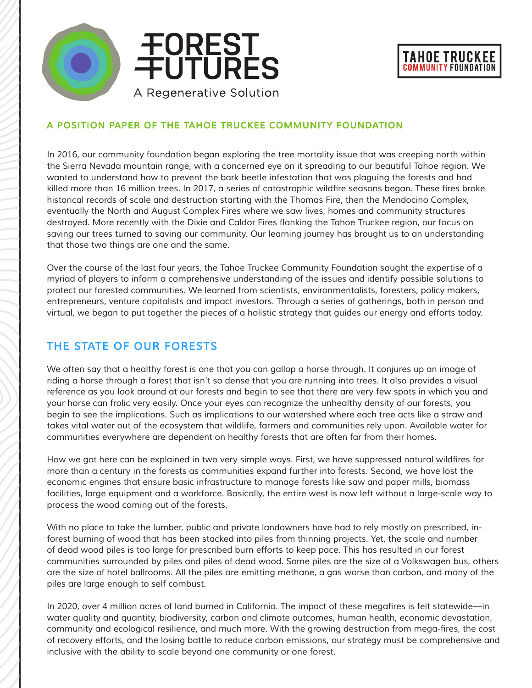



#### *A POSITION PAPER OF THE TAHOE TRUCKEE COMMUNITY FOUNDATION*

*In 2016, our community foundation began exploring the tree mortality issue that was creeping north within the Sierra Nevada mountain range, with a concerned eye on it spreading to our beautiful Tahoe region. We wanted to understand how to prevent the bark beetle infestation that was plaguing the forests and had*  killed more than 16 million trees. In 2017, a series of catastrophic wildfire seasons began. These fires broke *historical records of scale and destruction starting with the Thomas Fire, then the Mendocino Complex, eventually the North and August Complex Fires where we saw lives, homes and community structures*  destroyed. More recently with the Dixie and Caldor Fires flanking the Tahoe Truckee region, our focus on *saving our trees turned to saving our community. Our learning journey has brought us to an understanding that those two things are one and the same.*

*Over the course of the last four years, the Tahoe Truckee Community Foundation sought the expertise of a myriad of players to inform a comprehensive understanding of the issues and identify possible solutions to protect our forested communities. We learned from scientists, environmentalists, foresters, policy makers, entrepreneurs, venture capitalists and impact investors. Through a series of gatherings, both in person and virtual, we began to put together the pieces of a holistic strategy that guides our energy and efforts today.*

### *THE STATE OF OUR FORESTS*

*We often say that a healthy forest is one that you can gallop a horse through. It conjures up an image of riding a horse through a forest that isn't so dense that you are running into trees. It also provides a visual reference as you look around at our forests and begin to see that there are very few spots in which you and your horse can frolic very easily. Once your eyes can recognize the unhealthy density of our forests, you begin to see the implications. Such as implications to our watershed where each tree acts like a straw and takes vital water out of the ecosystem that wildlife, farmers and communities rely upon. Available water for communities everywhere are dependent on healthy forests that are often far from their homes.*

How we got here can be explained in two very simple ways. First, we have suppressed natural wildfires for *more than a century in the forests as communities expand further into forests. Second, we have lost the economic engines that ensure basic infrastructure to manage forests like saw and paper mills, biomass*  facilities, large equipment and a workforce. Basically, the entire west is now left without a large-scale way to *process the wood coming out of the forests.*

*With no place to take the lumber, public and private landowners have had to rely mostly on prescribed, inforest burning of wood that has been stacked into piles from thinning projects. Yet, the scale and number of dead wood piles is too large for prescribed burn efforts to keep pace. This has resulted in our forest communities surrounded by piles and piles of dead wood. Some piles are the size of a Volkswagen bus, others are the size of hotel ballrooms. All the piles are emitting methane, a gas worse than carbon, and many of the piles are large enough to self combust.* 

In 2020, over 4 million acres of land burned in California. The impact of these megafires is felt statewide—in *water quality and quantity, biodiversity, carbon and climate outcomes, human health, economic devastation,*  community and ecological resilience, and much more. With the growing destruction from mega-fires, the cost *of recovery efforts, and the losing battle to reduce carbon emissions, our strategy must be comprehensive and inclusive with the ability to scale beyond one community or one forest.*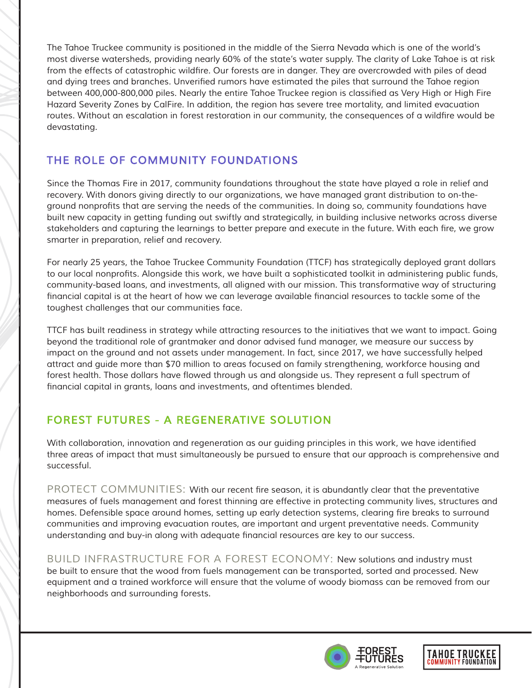*The Tahoe Truckee community is positioned in the middle of the Sierra Nevada which is one of the world's most diverse watersheds, providing nearly 60% of the state's water supply. The clarity of Lake Tahoe is at risk*  from the effects of catastrophic wildfire. Our forests are in danger. They are overcrowded with piles of dead and dying trees and branches. Unverified rumors have estimated the piles that surround the Tahoe region between 400,000-800,000 piles. Nearly the entire Tahoe Truckee region is classified as Very High or High Fire *Hazard Severity Zones by CalFire. In addition, the region has severe tree mortality, and limited evacuation*  routes. Without an escalation in forest restoration in our community, the consequences of a wildfire would be *devastating.* 

## *THE ROLE OF COMMUNITY FOUNDATIONS*

*Since the Thomas Fire in 2017, community foundations throughout the state have played a role in relief and recovery. With donors giving directly to our organizations, we have managed grant distribution to on-the*ground nonprofits that are serving the needs of the communities. In doing so, community foundations have *built new capacity in getting funding out swiftly and strategically, in building inclusive networks across diverse*  stakeholders and capturing the learnings to better prepare and execute in the future. With each fire, we grow *smarter in preparation, relief and recovery.*

*For nearly 25 years, the Tahoe Truckee Community Foundation (TTCF) has strategically deployed grant dollars*  to our local nonprofits. Alongside this work, we have built a sophisticated toolkit in administering public funds, *community-based loans, and investments, all aligned with our mission. This transformative way of structuring*  financial capital is at the heart of how we can leverage available financial resources to tackle some of the *toughest challenges that our communities face.*

*TTCF has built readiness in strategy while attracting resources to the initiatives that we want to impact. Going beyond the traditional role of grantmaker and donor advised fund manager, we measure our success by impact on the ground and not assets under management. In fact, since 2017, we have successfully helped attract and guide more than \$70 million to areas focused on family strengthening, workforce housing and*  forest health. Those dollars have flowed through us and alongside us. They represent a full spectrum of financial capital in grants, loans and investments, and oftentimes blended.

## *FOREST FUTURES - A REGENERATIVE SOLUTION*

With collaboration, innovation and regeneration as our guiding principles in this work, we have identified *three areas of impact that must simultaneously be pursued to ensure that our approach is comprehensive and successful.*

*PROTECT COMMUNITIES:* With our recent fire season, it is abundantly clear that the preventative *measures of fuels management and forest thinning are effective in protecting community lives, structures and*  homes. Defensible space around homes, setting up early detection systems, clearing fire breaks to surround *communities and improving evacuation routes, are important and urgent preventative needs. Community*  understanding and buy-in along with adequate financial resources are key to our success.

*BUILD INFRASTRUCTURE FOR A FOREST ECONOMY: New solutions and industry must be built to ensure that the wood from fuels management can be transported, sorted and processed. New equipment and a trained workforce will ensure that the volume of woody biomass can be removed from our neighborhoods and surrounding forests.*



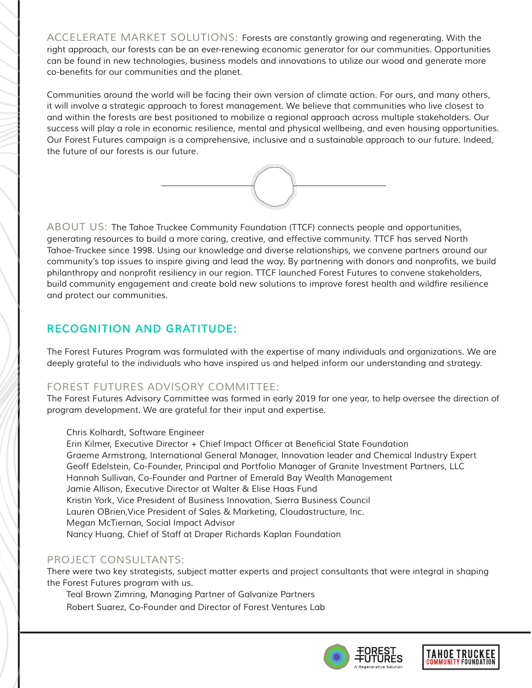*ACCELERATE MARKET SOLUTIONS: Forests are constantly growing and regenerating. With the right approach, our forests can be an ever-renewing economic generator for our communities. Opportunities can be found in new technologies, business models and innovations to utilize our wood and generate more*  co-benefits for our communities and the planet.

*Communities around the world will be facing their own version of climate action. For ours, and many others, it will involve a strategic approach to forest management. We believe that communities who live closest to and within the forests are best positioned to mobilize a regional approach across multiple stakeholders. Our success will play a role in economic resilience, mental and physical wellbeing, and even housing opportunities. Our Forest Futures campaign is a comprehensive, inclusive and a sustainable approach to our future. Indeed, the future of our forests is our future.*



*ABOUT US: The Tahoe Truckee Community Foundation (TTCF) connects people and opportunities, generating resources to build a more caring, creative, and effective community. TTCF has served North Tahoe-Truckee since 1998. Using our knowledge and diverse relationships, we convene partners around our*  community's top issues to inspire giving and lead the way. By partnering with donors and nonprofits, we build philanthropy and nonprofit resiliency in our region. TTCF launched Forest Futures to convene stakeholders, build community engagement and create bold new solutions to improve forest health and wildfire resilience *and protect our communities.* 

# *RECOGNITION AND GRATITUDE:*

*The Forest Futures Program was formulated with the expertise of many individuals and organizations. We are deeply grateful to the individuals who have inspired us and helped inform our understanding and strategy.*

### *FOREST FUTURES ADVISORY COMMITTEE:*

*The Forest Futures Advisory Committee was formed in early 2019 for one year, to help oversee the direction of program development. We are grateful for their input and expertise.*

#### *Chris Kolhardt, Software Engineer*

Erin Kilmer, Executive Director + Chief Impact Officer at Beneficial State Foundation *Graeme Armstrong, International General Manager, Innovation leader and Chemical Industry Expert Geoff Edelstein, Co-Founder, Principal and Portfolio Manager of Granite Investment Partners, LLC Hannah Sullivan, Co-Founder and Partner of Emerald Bay Wealth Management Jamie Allison, Executive Director at Walter & Elise Haas Fund Kristin York, Vice President of Business Innovation, Sierra Business Council Lauren OBrien,Vice President of Sales & Marketing, Cloudastructure, Inc. Megan McTiernan, Social Impact Advisor Nancy Huang, Chief of Staff at Draper Richards Kaplan Foundation* 

#### *PROJECT CONSULTANTS:*

*There were two key strategists, subject matter experts and project consultants that were integral in shaping the Forest Futures program with us.* 

*Teal Brown Zimring, Managing Partner of Galvanize Partners*

*Robert Suarez, Co-Founder and Director of Forest Ventures Lab*



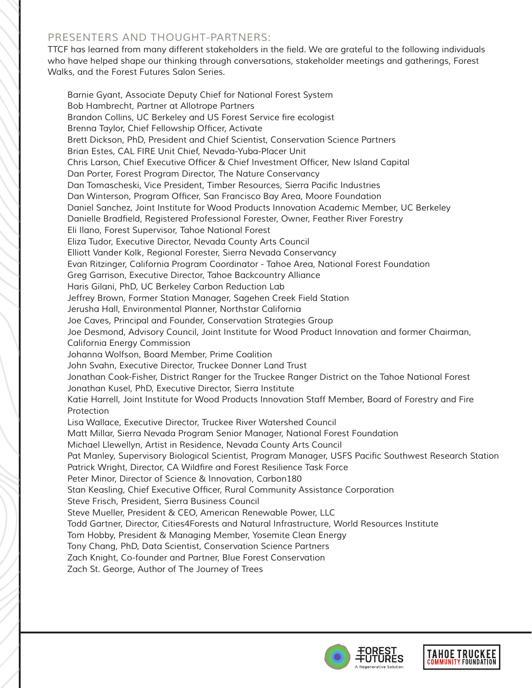#### *PRESENTERS AND THOUGHT-PARTNERS:*

TTCF has learned from many different stakeholders in the field. We are grateful to the following individuals *who have helped shape our thinking through conversations, stakeholder meetings and gatherings, Forest Walks, and the Forest Futures Salon Series.*

*Barnie Gyant, Associate Deputy Chief for National Forest System Bob Hambrecht, Partner at Allotrope Partners* Brandon Collins, UC Berkeley and US Forest Service fire ecologist Brenna Taylor, Chief Fellowship Officer, Activate *Brett Dickson, PhD, President and Chief Scientist, Conservation Science Partners Brian Estes, CAL FIRE Unit Chief, Nevada-Yuba-Placer Unit* Chris Larson, Chief Executive Officer & Chief Investment Officer, New Island Capital *Dan Porter, Forest Program Director, The Nature Conservancy* Dan Tomascheski, Vice President, Timber Resources, Sierra Pacific Industries Dan Winterson, Program Officer, San Francisco Bay Area, Moore Foundation *Daniel Sanchez, Joint Institute for Wood Products Innovation Academic Member, UC Berkeley* Danielle Bradfield, Registered Professional Forester, Owner, Feather River Forestry *Eli Ilano, Forest Supervisor, Tahoe National Forest Eliza Tudor, Executive Director, Nevada County Arts Council Elliott Vander Kolk, Regional Forester, Sierra Nevada Conservancy Evan Ritzinger, California Program Coordinator - Tahoe Area, National Forest Foundation Greg Garrison, Executive Director, Tahoe Backcountry Alliance Haris Gilani, PhD, UC Berkeley Carbon Reduction Lab Jeffrey Brown, Former Station Manager, Sagehen Creek Field Station Jerusha Hall, Environmental Planner, Northstar California Joe Caves, Principal and Founder, Conservation Strategies Group Joe Desmond, Advisory Council, Joint Institute for Wood Product Innovation and former Chairman, California Energy Commission Johanna Wolfson, Board Member, Prime Coalition John Svahn, Executive Director, Truckee Donner Land Trust Jonathan Cook-Fisher, District Ranger for the Truckee Ranger District on the Tahoe National Forest Jonathan Kusel, PhD, Executive Director, Sierra Institute Katie Harrell, Joint Institute for Wood Products Innovation Staff Member, Board of Forestry and Fire Protection Lisa Wallace, Executive Director, Truckee River Watershed Council Matt Millar, Sierra Nevada Program Senior Manager, National Forest Foundation Michael Llewellyn, Artist in Residence, Nevada County Arts Council* Pat Manley, Supervisory Biological Scientist, Program Manager, USFS Pacific Southwest Research Station Patrick Wright, Director, CA Wildfire and Forest Resilience Task Force *Peter Minor, Director of Science & Innovation, Carbon180* Stan Keasling, Chief Executive Officer, Rural Community Assistance Corporation *Steve Frisch, President, Sierra Business Council Steve Mueller, President & CEO, American Renewable Power, LLC Todd Gartner, Director, Cities4Forests and Natural Infrastructure, World Resources Institute Tom Hobby, President & Managing Member, Yosemite Clean Energy Tony Chang, PhD, Data Scientist, Conservation Science Partners Zach Knight, Co-founder and Partner, Blue Forest Conservation Zach St. George, Author of The Journey of Trees*